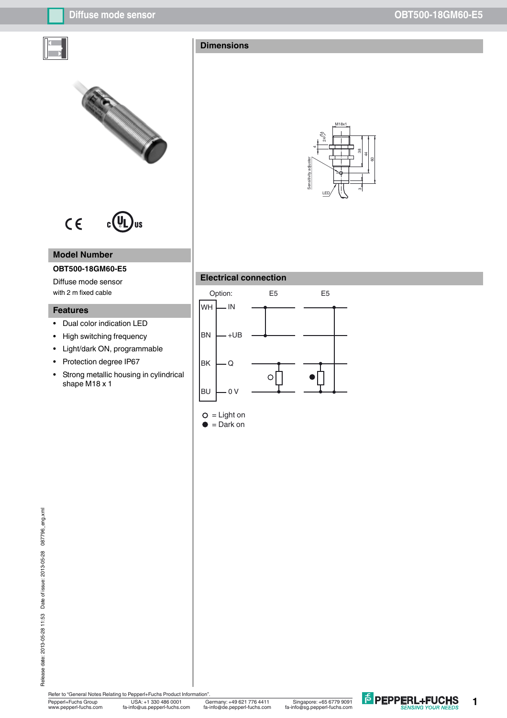



#### $C \in$  $c(U<sub>l</sub>)$ **US**

## **Model Number**

# **OBT500-18GM60-E5**

Diffuse mode sensor with 2 m fixed cable

# **Features**

- Dual color indication LED
- High switching frequency
- Light/dark ON, programmable
- Protection degree IP67
- Strong metallic housing in cylindrical shape M18 x 1



## **Electrical connection**

 $\bullet$  = Dark on





Pepperl+Fuchs Group USA: +1 330 486 0001<br>www.pepperl-fuchs.com fa-info@us.pepperl-fuchs.com Refer to "General Notes Relating to Pepperl+Fuchs Product Information".

USA: +1 330 486 0001 Singapore: +65 6779 9091 www.pepperl-fuchs.com fa-info@us.pepperl-fuchs.com fa-info@sg.pepperl-fuchs.com fa-info@de.pepperl-fuchs.com

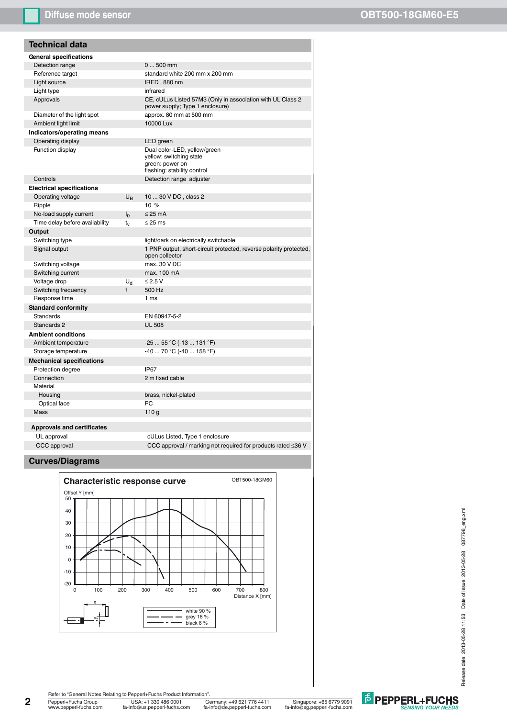# **Diffuse mode sensor OBT500-18GM60-E5**

| <b>Technical data</b>             |                |                                                                                                           |
|-----------------------------------|----------------|-----------------------------------------------------------------------------------------------------------|
| <b>General specifications</b>     |                |                                                                                                           |
| Detection range                   |                | $0500$ mm                                                                                                 |
| Reference target                  |                | standard white 200 mm x 200 mm                                                                            |
| Light source                      |                | IRED, 880 nm                                                                                              |
| Light type                        |                | infrared                                                                                                  |
| Approvals                         |                | CE, cULus Listed 57M3 (Only in association with UL Class 2<br>power supply; Type 1 enclosure)             |
| Diameter of the light spot        |                | approx. 80 mm at 500 mm                                                                                   |
| Ambient light limit               |                | 10000 Lux                                                                                                 |
| Indicators/operating means        |                |                                                                                                           |
| Operating display                 |                | LED green                                                                                                 |
| Function display                  |                | Dual color-LED, yellow/green<br>yellow: switching state<br>green: power on<br>flashing: stability control |
| Controls                          |                | Detection range adjuster                                                                                  |
| <b>Electrical specifications</b>  |                |                                                                                                           |
| Operating voltage                 | $U_{\rm B}$    | 10  30 V DC, class 2                                                                                      |
| Ripple                            |                | 10%                                                                                                       |
| No-load supply current            | $I_0$          | $\leq$ 25 mA                                                                                              |
| Time delay before availability    | t.,            | $\leq$ 25 ms                                                                                              |
| Output                            |                |                                                                                                           |
| Switching type                    |                | light/dark on electrically switchable                                                                     |
| Signal output                     |                | 1 PNP output, short-circuit protected, reverse polarity protected,<br>open collector                      |
| Switching voltage                 |                | max. 30 V DC                                                                                              |
| Switching current                 |                | max. 100 mA                                                                                               |
| Voltage drop                      | U <sub>d</sub> | $\leq$ 2.5 V                                                                                              |
| Switching frequency               | f              | 500 Hz                                                                                                    |
| Response time                     |                | 1 ms                                                                                                      |
| <b>Standard conformity</b>        |                |                                                                                                           |
| <b>Standards</b>                  |                | EN 60947-5-2                                                                                              |
| Standards 2                       |                | <b>UL 508</b>                                                                                             |
| <b>Ambient conditions</b>         |                |                                                                                                           |
| Ambient temperature               |                | -25  55 °C (-13  131 °F)                                                                                  |
| Storage temperature               |                | -40  70 °C (-40  158 °F)                                                                                  |
| <b>Mechanical specifications</b>  |                |                                                                                                           |
| Protection degree                 |                | <b>IP67</b>                                                                                               |
| Connection                        |                | 2 m fixed cable                                                                                           |
| Material                          |                |                                                                                                           |
| Housing                           |                | brass, nickel-plated                                                                                      |
| Optical face                      |                | PC                                                                                                        |
| Mass                              |                | 110 <sub>g</sub>                                                                                          |
|                                   |                |                                                                                                           |
| <b>Approvals and certificates</b> |                |                                                                                                           |
| UL approval                       |                | cULus Listed, Type 1 enclosure                                                                            |
| CCC approval                      |                | CCC approval / marking not required for products rated $\leq$ 36 V                                        |
|                                   |                |                                                                                                           |

#### **Curves/Diagrams**



Release date: 2013-05-28 11:53 Date of issue: 2013-05-28 087796\_eng.xml Release date: 2013-05-28 11:53 Date of issue: 2013-05-28 087796\_eng.xml